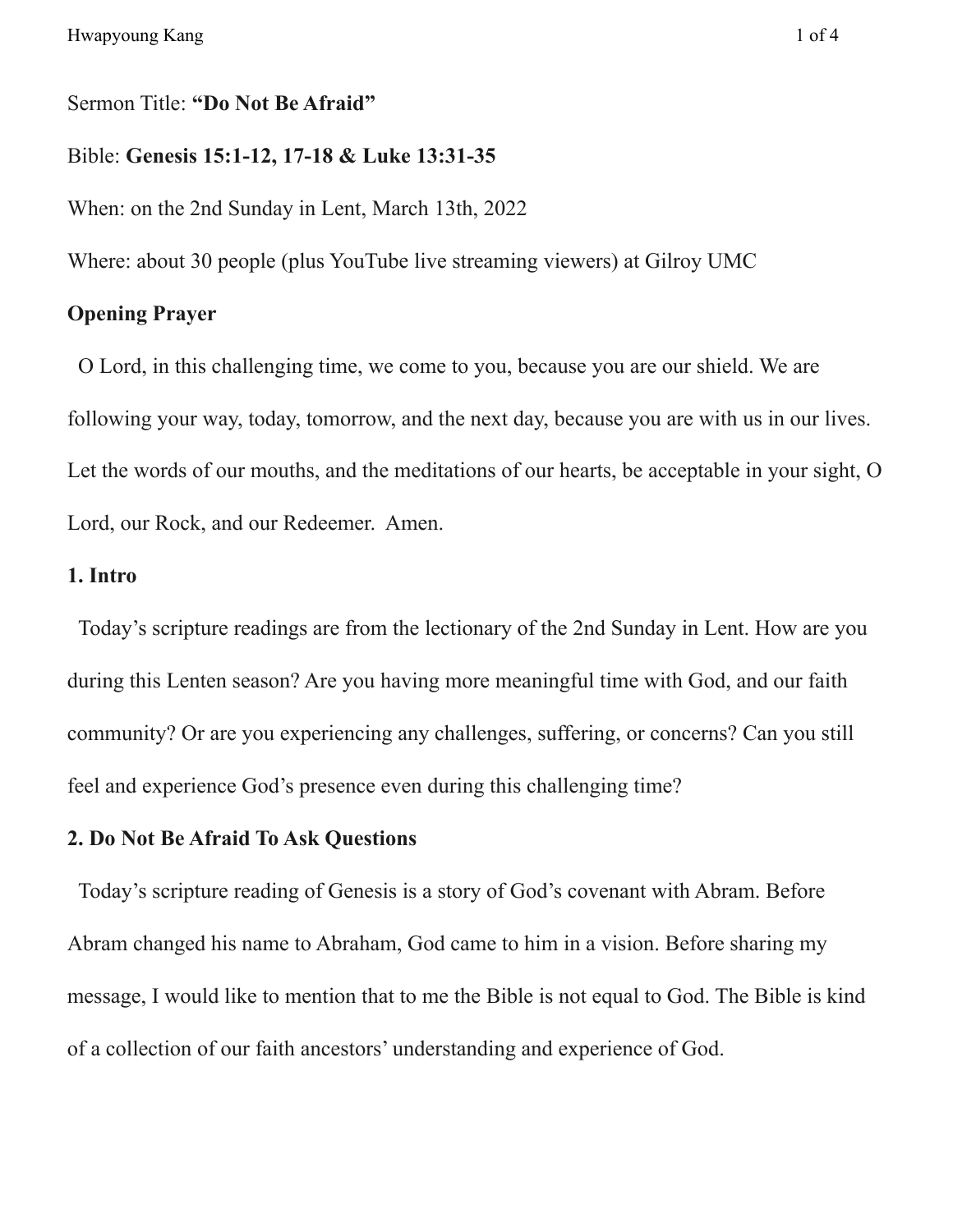## Sermon Title: **"Do Not Be Afraid"**

## Bible: **Genesis 15:1-12, 17-18 & Luke 13:31-35**

When: on the 2nd Sunday in Lent, March 13th, 2022

Where: about 30 people (plus YouTube live streaming viewers) at Gilroy UMC

#### **Opening Prayer**

O Lord, in this challenging time, we come to you, because you are our shield. We are following your way, today, tomorrow, and the next day, because you are with us in our lives. Let the words of our mouths, and the meditations of our hearts, be acceptable in your sight, O Lord, our Rock, and our Redeemer. Amen.

## **1. Intro**

Today's scripture readings are from the lectionary of the 2nd Sunday in Lent. How are you during this Lenten season? Are you having more meaningful time with God, and our faith community? Or are you experiencing any challenges, suffering, or concerns? Can you still feel and experience God's presence even during this challenging time?

#### **2. Do Not Be Afraid To Ask Questions**

Today's scripture reading of Genesis is a story of God's covenant with Abram. Before Abram changed his name to Abraham, God came to him in a vision. Before sharing my message, I would like to mention that to me the Bible is not equal to God. The Bible is kind of a collection of our faith ancestors' understanding and experience of God.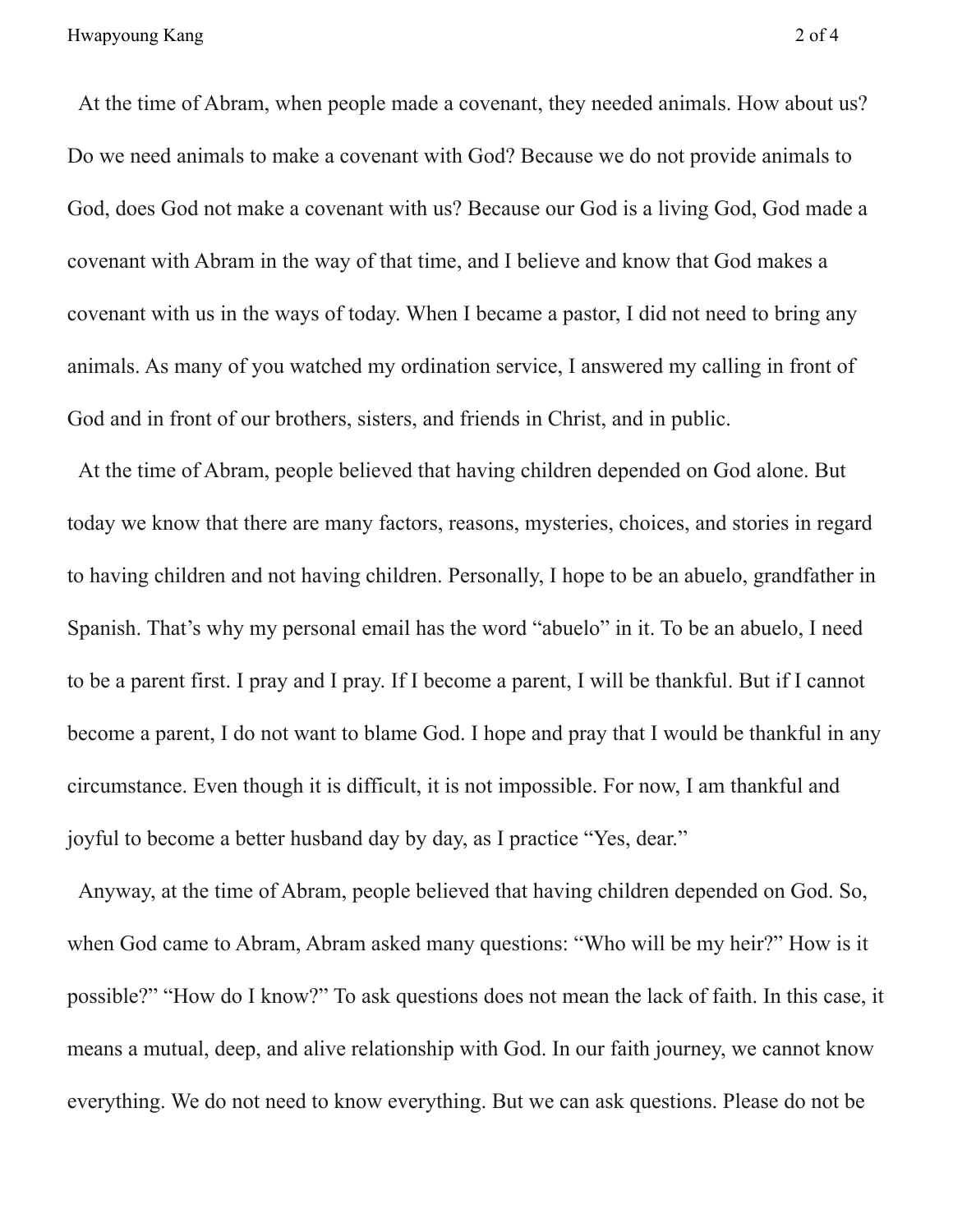At the time of Abram, when people made a covenant, they needed animals. How about us? Do we need animals to make a covenant with God? Because we do not provide animals to God, does God not make a covenant with us? Because our God is a living God, God made a covenant with Abram in the way of that time, and I believe and know that God makes a covenant with us in the ways of today. When I became a pastor, I did not need to bring any animals. As many of you watched my ordination service, I answered my calling in front of God and in front of our brothers, sisters, and friends in Christ, and in public.

At the time of Abram, people believed that having children depended on God alone. But today we know that there are many factors, reasons, mysteries, choices, and stories in regard to having children and not having children. Personally, I hope to be an abuelo, grandfather in Spanish. That's why my personal email has the word "abuelo" in it. To be an abuelo, I need to be a parent first. I pray and I pray. If I become a parent, I will be thankful. But if I cannot become a parent, I do not want to blame God. I hope and pray that I would be thankful in any circumstance. Even though it is difficult, it is not impossible. For now, I am thankful and joyful to become a better husband day by day, as I practice "Yes, dear."

Anyway, at the time of Abram, people believed that having children depended on God. So, when God came to Abram, Abram asked many questions: "Who will be my heir?" How is it possible?" "How do I know?" To ask questions does not mean the lack of faith. In this case, it means a mutual, deep, and alive relationship with God. In our faith journey, we cannot know everything. We do not need to know everything. But we can ask questions. Please do not be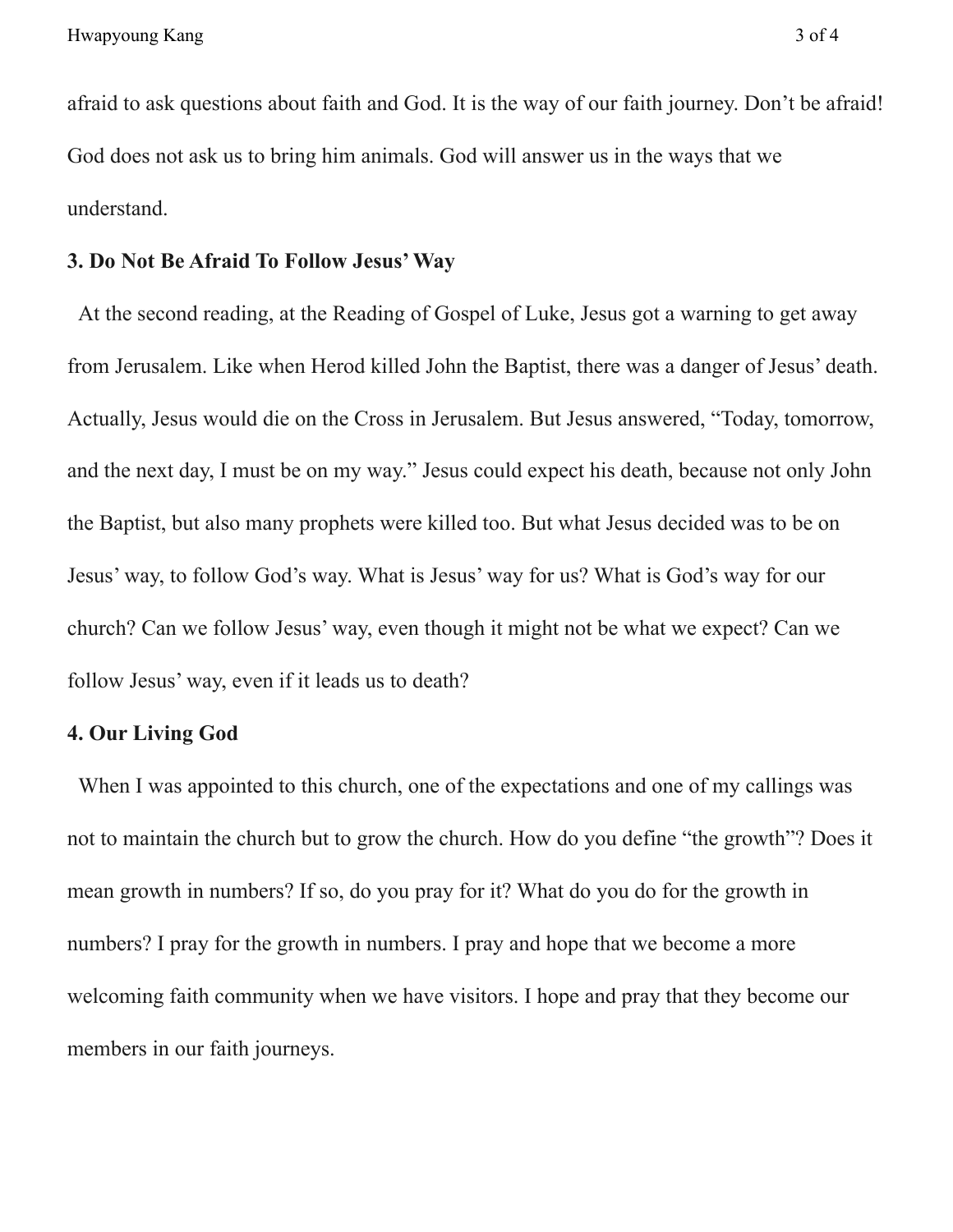afraid to ask questions about faith and God. It is the way of our faith journey. Don't be afraid! God does not ask us to bring him animals. God will answer us in the ways that we understand.

## **3. Do Not Be Afraid To Follow Jesus'Way**

At the second reading, at the Reading of Gospel of Luke, Jesus got a warning to get away from Jerusalem. Like when Herod killed John the Baptist, there was a danger of Jesus' death. Actually, Jesus would die on the Cross in Jerusalem. But Jesus answered, "Today, tomorrow, and the next day, I must be on my way." Jesus could expect his death, because not only John the Baptist, but also many prophets were killed too. But what Jesus decided was to be on Jesus' way, to follow God's way. What is Jesus' way for us? What is God's way for our church? Can we follow Jesus' way, even though it might not be what we expect? Can we follow Jesus' way, even if it leads us to death?

## **4. Our Living God**

When I was appointed to this church, one of the expectations and one of my callings was not to maintain the church but to grow the church. How do you define "the growth"? Does it mean growth in numbers? If so, do you pray for it? What do you do for the growth in numbers? I pray for the growth in numbers. I pray and hope that we become a more welcoming faith community when we have visitors. I hope and pray that they become our members in our faith journeys.